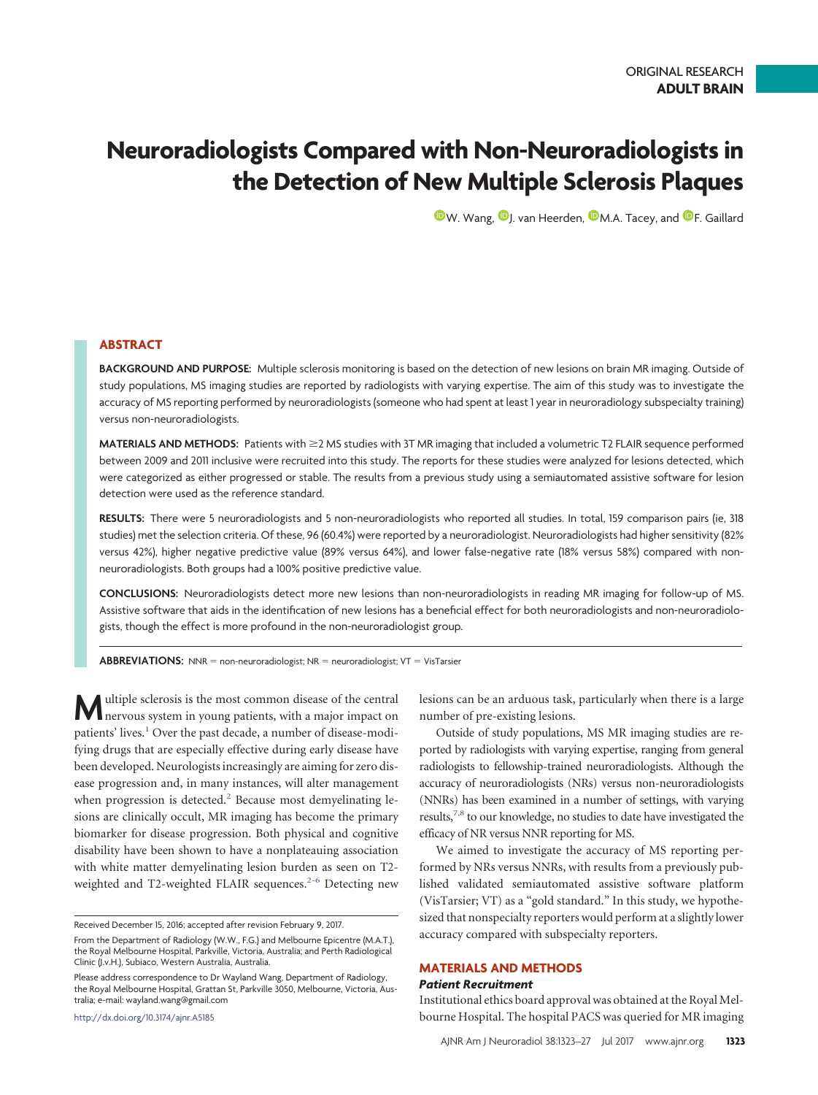# **Neuroradiologists Compared with Non-Neuroradiologists in the Detection of New Multiple Sclerosis Plaques**

 $\mathbf{\mathbb{D}}$ [W. Wang,](http://orcid.org/0000-0002-0841-9354)  $\mathbf{\mathbb{D}}$ [J. van Heerden,](http://orcid.org/0000-0002-7407-4884)  $\mathbf{\mathbb{D}}$ [M.A. Tacey,](http://orcid.org/0000-0002-6318-3911) and  $\mathbf{\mathbb{D}}$ [F. Gaillard](http://orcid.org/0000-0002-2382-872X)

# **ABSTRACT**

**BACKGROUND AND PURPOSE:** Multiple sclerosis monitoring is based on the detection of new lesions on brain MR imaging. Outside of study populations, MS imaging studies are reported by radiologists with varying expertise. The aim of this study was to investigate the accuracy of MS reporting performed by neuroradiologists (someone who had spent at least 1 year in neuroradiology subspecialty training) versus non-neuroradiologists.

**MATERIALS AND METHODS:** Patients with ≥2 MS studies with 3T MR imaging that included a volumetric T2 FLAIR sequence performed between 2009 and 2011 inclusive were recruited into this study. The reports for these studies were analyzed for lesions detected, which were categorized as either progressed or stable. The results from a previous study using a semiautomated assistive software for lesion detection were used as the reference standard.

**RESULTS:** There were 5 neuroradiologists and 5 non-neuroradiologists who reported all studies. In total, 159 comparison pairs (ie, 318 studies) met the selection criteria. Of these, 96 (60.4%) were reported by a neuroradiologist. Neuroradiologists had higher sensitivity (82% versus 42%), higher negative predictive value (89% versus 64%), and lower false-negative rate (18% versus 58%) compared with nonneuroradiologists. Both groups had a 100% positive predictive value.

**CONCLUSIONS:** Neuroradiologists detect more new lesions than non-neuroradiologists in reading MR imaging for follow-up of MS. Assistive software that aids in the identification of new lesions has a beneficial effect for both neuroradiologists and non-neuroradiologists, though the effect is more profound in the non-neuroradiologist group.

ABBREVIATIONS: NNR = non-neuroradiologist; NR = neuroradiologist; VT = VisTarsier

**M** ultiple sclerosis is the most common disease of the central nervous system in young patients, with a major impact on patients' lives.<sup>1</sup> Over the past decade, a number of disease-modifying drugs that are especially effective during early disease have been developed. Neurologists increasingly are aiming for zero disease progression and, in many instances, will alter management when progression is detected.<sup>2</sup> Because most demyelinating lesions are clinically occult, MR imaging has become the primary biomarker for disease progression. Both physical and cognitive disability have been shown to have a nonplateauing association with white matter demyelinating lesion burden as seen on T2- weighted and T2-weighted FLAIR sequences.<sup>2-[6](#page-4-2)</sup> Detecting new

http://dx.doi.org/10.3174/ajnr.A5185

lesions can be an arduous task, particularly when there is a large number of pre-existing lesions.

Outside of study populations, MS MR imaging studies are reported by radiologists with varying expertise, ranging from general radiologists to fellowship-trained neuroradiologists. Although the accuracy of neuroradiologists (NRs) versus non-neuroradiologists (NNRs) has been examined in a number of settings, with varying results,<sup>7,[8](#page-4-4)</sup> to our knowledge, no studies to date have investigated the efficacy of NR versus NNR reporting for MS.

We aimed to investigate the accuracy of MS reporting performed by NRs versus NNRs, with results from a previously published validated semiautomated assistive software platform (VisTarsier; VT) as a "gold standard." In this study, we hypothesized that nonspecialty reporters would perform at a slightly lower accuracy compared with subspecialty reporters.

# **MATERIALS AND METHODS**

#### *Patient Recruitment*

Institutional ethics board approval was obtained at the Royal Melbourne Hospital. The hospital PACS was queried for MR imaging

Received December 15, 2016; accepted after revision February 9, 2017.

From the Department of Radiology (W.W., F.G.) and Melbourne Epicentre (M.A.T.), the Royal Melbourne Hospital, Parkville, Victoria, Australia; and Perth Radiological Clinic (J.v.H.), Subiaco, Western Australia, Australia.

Please address correspondence to Dr Wayland Wang, Department of Radiology, the Royal Melbourne Hospital, Grattan St, Parkville 3050, Melbourne, Victoria, Australia; e-mail: wayland.wang@gmail.com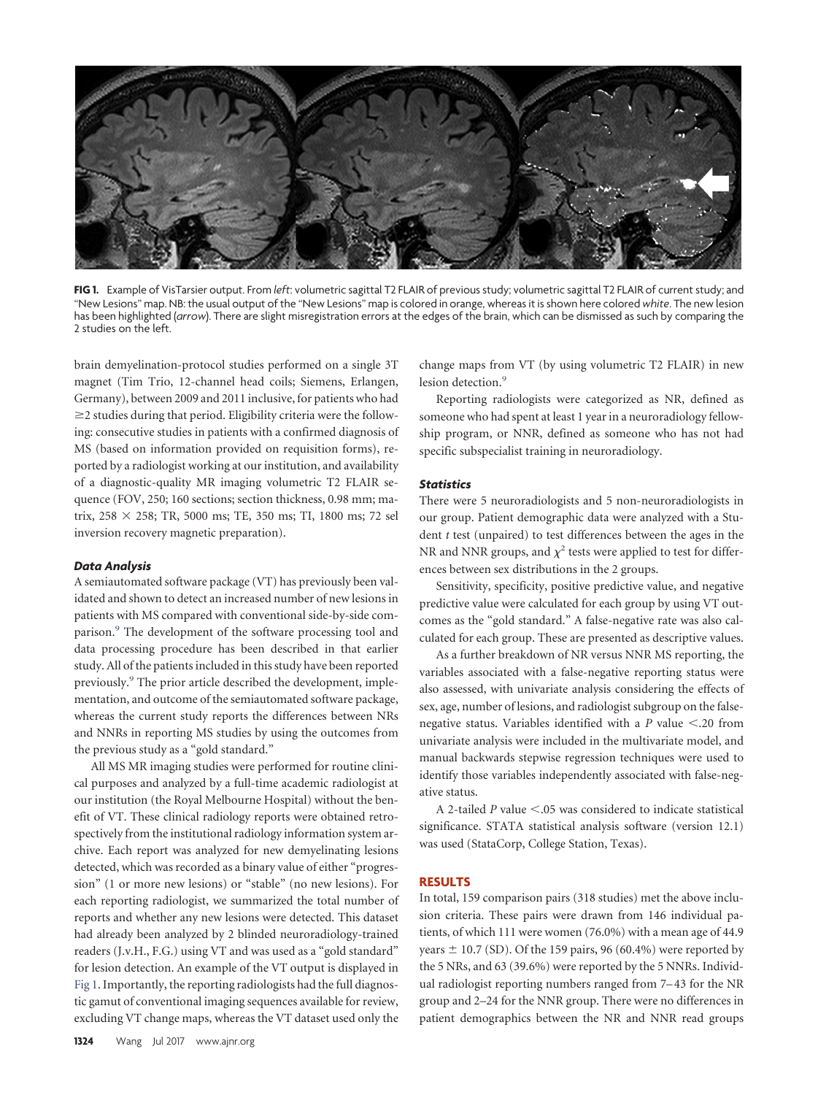<span id="page-1-0"></span>

**FIG 1.** Example of VisTarsier output. From *left*: volumetric sagittal T2 FLAIR of previous study; volumetric sagittal T2 FLAIR of current study; and "New Lesions" map. NB: the usual output of the "New Lesions" map is colored in orange, whereas it is shown here colored *white*. The new lesion has been highlighted (*arrow*). There are slight misregistration errors at the edges of the brain, which can be dismissed as such by comparing the 2 studies on the left.

brain demyelination-protocol studies performed on a single 3T magnet (Tim Trio, 12-channel head coils; Siemens, Erlangen, Germany), between 2009 and 2011 inclusive, for patients who had  $\geq$ 2 studies during that period. Eligibility criteria were the following: consecutive studies in patients with a confirmed diagnosis of MS (based on information provided on requisition forms), reported by a radiologist working at our institution, and availability of a diagnostic-quality MR imaging volumetric T2 FLAIR sequence (FOV, 250; 160 sections; section thickness, 0.98 mm; matrix, 258 258; TR, 5000 ms; TE, 350 ms; TI, 1800 ms; 72 sel inversion recovery magnetic preparation).

#### *Data Analysis*

A semiautomated software package (VT) has previously been validated and shown to detect an increased number of new lesions in patients with MS compared with conventional side-by-side comparison.<sup>9</sup> The development of the software processing tool and data processing procedure has been described in that earlier study. All of the patients included in this study have been reported previously[.9](#page-4-5) The prior article described the development, implementation, and outcome of the semiautomated software package, whereas the current study reports the differences between NRs and NNRs in reporting MS studies by using the outcomes from the previous study as a "gold standard."

All MS MR imaging studies were performed for routine clinical purposes and analyzed by a full-time academic radiologist at our institution (the Royal Melbourne Hospital) without the benefit of VT. These clinical radiology reports were obtained retrospectively from the institutional radiology information system archive. Each report was analyzed for new demyelinating lesions detected, which was recorded as a binary value of either "progression" (1 or more new lesions) or "stable" (no new lesions). For each reporting radiologist, we summarized the total number of reports and whether any new lesions were detected. This dataset had already been analyzed by 2 blinded neuroradiology-trained readers (J.v.H., F.G.) using VT and was used as a "gold standard" for lesion detection. An example of the VT output is displayed in [Fig 1.](#page-1-0) Importantly, the reporting radiologists had the full diagnostic gamut of conventional imaging sequences available for review, excluding VT change maps, whereas the VT dataset used only the

change maps from VT (by using volumetric T2 FLAIR) in new lesion detection.<sup>9</sup>

Reporting radiologists were categorized as NR, defined as someone who had spent at least 1 year in a neuroradiology fellowship program, or NNR, defined as someone who has not had specific subspecialist training in neuroradiology.

# *Statistics*

There were 5 neuroradiologists and 5 non-neuroradiologists in our group. Patient demographic data were analyzed with a Student *t* test (unpaired) to test differences between the ages in the NR and NNR groups, and  $\chi^2$  tests were applied to test for differences between sex distributions in the 2 groups.

Sensitivity, specificity, positive predictive value, and negative predictive value were calculated for each group by using VT outcomes as the "gold standard." A false-negative rate was also calculated for each group. These are presented as descriptive values.

As a further breakdown of NR versus NNR MS reporting, the variables associated with a false-negative reporting status were also assessed, with univariate analysis considering the effects of sex, age, number of lesions, and radiologist subgroup on the falsenegative status. Variables identified with a  $P$  value  $\leq$ .20 from univariate analysis were included in the multivariate model, and manual backwards stepwise regression techniques were used to identify those variables independently associated with false-negative status.

A 2-tailed *P* value <.05 was considered to indicate statistical significance. STATA statistical analysis software (version 12.1) was used (StataCorp, College Station, Texas).

#### **RESULTS**

In total, 159 comparison pairs (318 studies) met the above inclusion criteria. These pairs were drawn from 146 individual patients, of which 111 were women (76.0%) with a mean age of 44.9 years  $\pm$  10.7 (SD). Of the 159 pairs, 96 (60.4%) were reported by the 5 NRs, and 63 (39.6%) were reported by the 5 NNRs. Individual radiologist reporting numbers ranged from 7–43 for the NR group and 2–24 for the NNR group. There were no differences in patient demographics between the NR and NNR read groups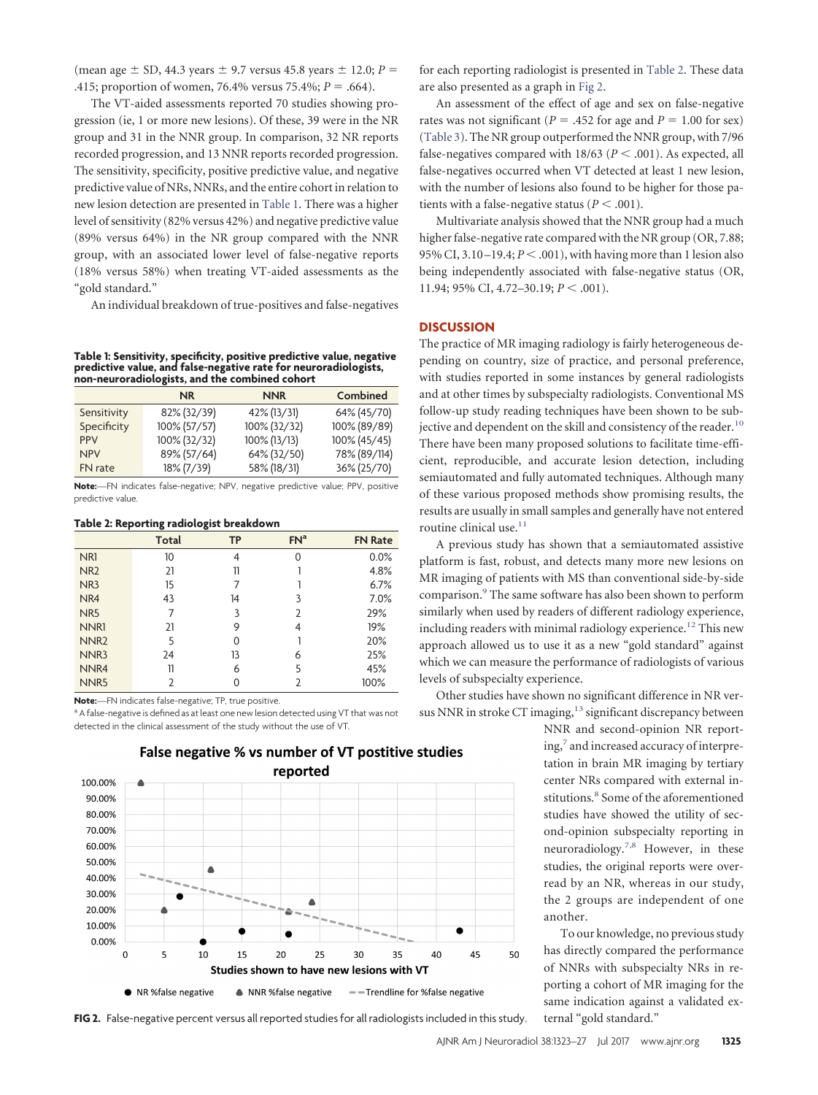(mean age  $\pm$  SD, 44.3 years  $\pm$  9.7 versus 45.8 years  $\pm$  12.0; *P* = .415; proportion of women, 76.4% versus 75.4%;  $P = .664$ ).

The VT-aided assessments reported 70 studies showing progression (ie, 1 or more new lesions). Of these, 39 were in the NR group and 31 in the NNR group. In comparison, 32 NR reports recorded progression, and 13 NNR reports recorded progression. The sensitivity, specificity, positive predictive value, and negative predictive value of NRs, NNRs, and the entire cohort in relation to new lesion detection are presented in [Table 1.](#page-2-0) There was a higher level of sensitivity (82% versus 42%) and negative predictive value (89% versus 64%) in the NR group compared with the NNR group, with an associated lower level of false-negative reports (18% versus 58%) when treating VT-aided assessments as the "gold standard."

An individual breakdown of true-positives and false-negatives

<span id="page-2-0"></span>**Table 1: Sensitivity, specificity, positive predictive value, negative predictive value, and false-negative rate for neuroradiologists, non-neuroradiologists, and the combined cohort**

|             | <b>NR</b>    | <b>NNR</b>   | Combined     |
|-------------|--------------|--------------|--------------|
| Sensitivity | 82% (32/39)  | 42% (13/31)  | 64% (45/70)  |
| Specificity | 100% (57/57) | 100% (32/32) | 100% (89/89) |
| <b>PPV</b>  | 100% (32/32) | 100% (13/13) | 100% (45/45) |
| <b>NPV</b>  | 89% (57/64)  | 64% (32/50)  | 78% (89/114) |
| FN rate     | 18% (7/39)   | 58% (18/31)  | 36% (25/70)  |

**Note:**—FN indicates false-negative; NPV, negative predictive value; PPV, positive predictive value.

#### <span id="page-2-1"></span>**Table 2: Reporting radiologist breakdown**

|                  | Total          | <b>TP</b> | FN <sup>a</sup> | <b>FN Rate</b> |
|------------------|----------------|-----------|-----------------|----------------|
| NR <sub>1</sub>  | 10             | 4         | $\Omega$        | 0.0%           |
| NR <sub>2</sub>  | 21             | 11        |                 | 4.8%           |
| NR <sub>3</sub>  | 15             | 7         |                 | 6.7%           |
| NR4              | 43             | 14        | 3               | 7.0%           |
| NR <sub>5</sub>  | 7              | 3         | 2               | 29%            |
| NNR1             | 21             | 9         | 4               | 19%            |
| NNR <sub>2</sub> | 5              | U         |                 | 20%            |
| NNR3             | 24             | 13        | 6               | 25%            |
| NNR4             | 11             | 6         | 5               | 45%            |
| NNR <sub>5</sub> | $\overline{2}$ | 0         | 2               | 100%           |

**Note:**—FN indicates false-negative; TP, true positive.

<span id="page-2-2"></span><sup>a</sup> A false-negative is defined as at least one new lesion detected using VT that was not detected in the clinical assessment of the study without the use of VT.

reported 100.00% 90,00% 80.00% 70.00% 60,00% 50.00%  $\blacktriangle$ 40.00% 30.00% 20.00% 10.00% 0.00%  $\overline{5}$ 15  $25$ 35 40 45 50  $\mathbf 0$ 10 20 30 Studies shown to have new lesions with VT • NNR %false negative -Trendline for %false negative • NR %false negative

False negative % vs number of VT postitive studies

for each reporting radiologist is presented in [Table 2.](#page-2-1) These data are also presented as a graph in [Fig 2.](#page-2-2)

An assessment of the effect of age and sex on false-negative rates was not significant ( $P = .452$  for age and  $P = 1.00$  for sex) [\(Table 3\)](#page-3-0). The NR group outperformed the NNR group, with 7/96 false-negatives compared with  $18/63$  ( $P < .001$ ). As expected, all false-negatives occurred when VT detected at least 1 new lesion, with the number of lesions also found to be higher for those patients with a false-negative status ( $P < .001$ ).

Multivariate analysis showed that the NNR group had a much higher false-negative rate compared with the NR group (OR, 7.88; 95% CI,  $3.10-19.4; P < .001$ ), with having more than 1 lesion also being independently associated with false-negative status (OR, 11.94; 95% CI, 4.72-30.19; *P* < .001).

#### **DISCUSSION**

The practice of MR imaging radiology is fairly heterogeneous depending on country, size of practice, and personal preference, with studies reported in some instances by general radiologists and at other times by subspecialty radiologists. Conventional MS follow-up study reading techniques have been shown to be subjective and dependent on the skill and consistency of the reader.<sup>10</sup> There have been many proposed solutions to facilitate time-efficient, reproducible, and accurate lesion detection, including semiautomated and fully automated techniques. Although many of these various proposed methods show promising results, the results are usually in small samples and generally have not entered routine clinical use.<sup>11</sup>

A previous study has shown that a semiautomated assistive platform is fast, robust, and detects many more new lesions on MR imaging of patients with MS than conventional side-by-side comparison[.9](#page-4-5) The same software has also been shown to perform similarly when used by readers of different radiology experience, including readers with minimal radiology experience.<sup>12</sup> This new approach allowed us to use it as a new "gold standard" against which we can measure the performance of radiologists of various levels of subspecialty experience.

Other studies have shown no significant difference in NR versus NNR in stroke  $CT$  imaging, $13$  significant discrepancy between

> NNR and second-opinion NR reporting[,7](#page-4-3) and increased accuracy of interpretation in brain MR imaging by tertiary center NRs compared with external institutions.<sup>8</sup> Some of the aforementioned studies have showed the utility of second-opinion subspecialty reporting in neuroradiology[.7,](#page-4-3)[8](#page-4-4) However, in these studies, the original reports were overread by an NR, whereas in our study, the 2 groups are independent of one another.

> To our knowledge, no previous study has directly compared the performance of NNRs with subspecialty NRs in reporting a cohort of MR imaging for the same indication against a validated ex-

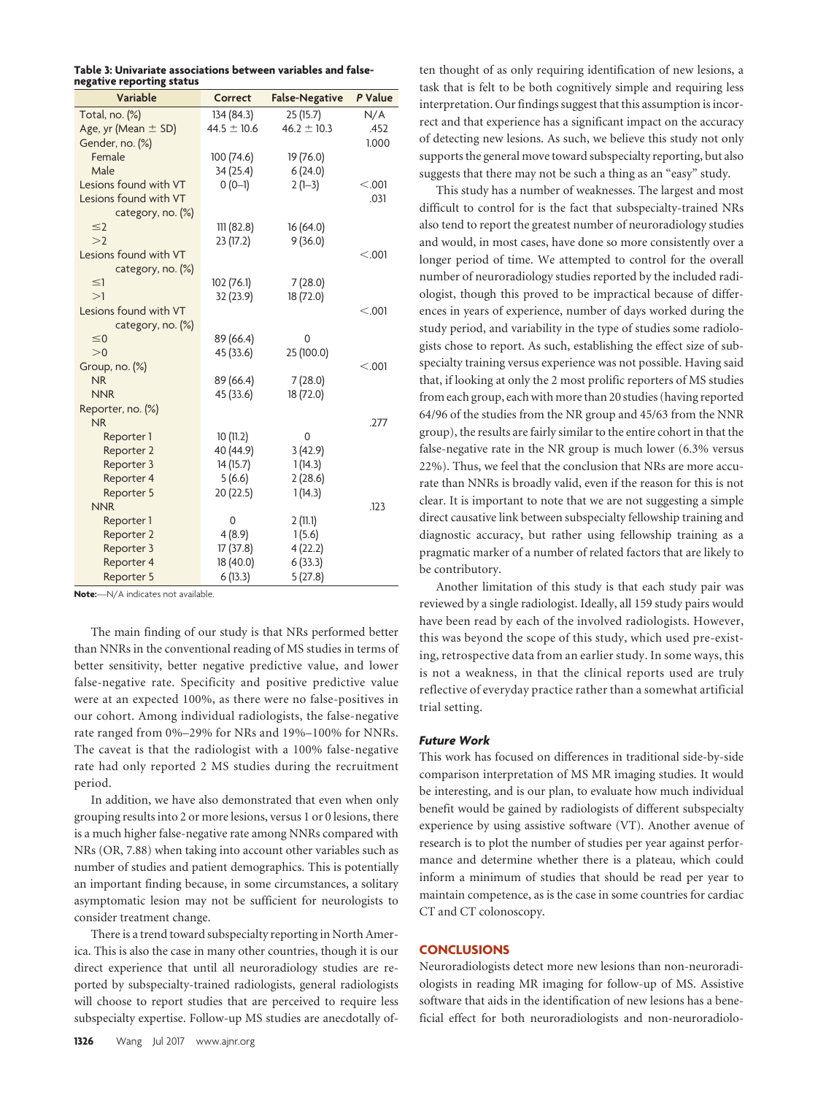<span id="page-3-0"></span>

| Table 3: Univariate associations between variables and false- |  |  |  |
|---------------------------------------------------------------|--|--|--|
| negative reporting status                                     |  |  |  |

| --o---- <i>- - -</i> -- ----o -----<br>Variable | Correct                | <b>False-Negative</b> | P Value |
|-------------------------------------------------|------------------------|-----------------------|---------|
| Total, no. (%)                                  | 134 (84.3)             | 25(15.7)              | N/A     |
| Age, yr (Mean $\pm$ SD)                         | $44.5 \pm 10.6$        | $46.2 \pm 10.3$       | .452    |
| Gender, no. (%)                                 |                        |                       | 1.000   |
| Female                                          | 100 (74.6)             | 19 (76.0)             |         |
| Male                                            | 34 (25.4)              | 6(24.0)               |         |
| Lesions found with VT                           | $0(0-1)$               | $2(1-3)$              | < .001  |
| Lesions found with VT                           |                        |                       | .031    |
| category, no. (%)                               |                        |                       |         |
| $\leq$ 2                                        | 111(82.8)              | 16(64.0)              |         |
| >2                                              | 23 (17.2)              | 9(36.0)               |         |
| Lesions found with VT                           |                        |                       | < .001  |
| category, no. (%)                               |                        |                       |         |
| $\leq$ 1                                        | 102 (76.1)             | 7(28.0)               |         |
| >1                                              | 32 (23.9)              | 18 (72.0)             |         |
| Lesions found with VT                           |                        |                       | < .001  |
| category, no. (%)                               |                        |                       |         |
| $\leq$ 0                                        | 89 (66.4)              | 0                     |         |
| >0                                              | 45 (33.6)              | 25 (100.0)            |         |
| Group, no. (%)<br><b>NR</b>                     |                        |                       | < .001  |
| <b>NNR</b>                                      | 89 (66.4)<br>45 (33.6) | 7(28.0)               |         |
| Reporter, no. (%)                               |                        | 18 (72.0)             |         |
| <b>NR</b>                                       |                        |                       | .277    |
| Reporter 1                                      | 10(11.2)               | 0                     |         |
| Reporter 2                                      | 40 (44.9)              | 3(42.9)               |         |
| Reporter 3                                      | 14(15.7)               | 1(14.3)               |         |
| Reporter 4                                      | 5(6.6)                 | 2(28.6)               |         |
| Reporter 5                                      | 20 (22.5)              | 1(14.3)               |         |
| <b>NNR</b>                                      |                        |                       | .123    |
| Reporter 1                                      | 0                      | 2(11.1)               |         |
| Reporter 2                                      | 4(8.9)                 | 1(5.6)                |         |
| Reporter 3                                      | 17(37.8)               | 4(22.2)               |         |
| Reporter 4                                      | 18 (40.0)              | 6(33.3)               |         |
| Reporter 5                                      | 6(13.3)                | 5(27.8)               |         |

**Note:**—N/A indicates not available.

The main finding of our study is that NRs performed better than NNRs in the conventional reading of MS studies in terms of better sensitivity, better negative predictive value, and lower false-negative rate. Specificity and positive predictive value were at an expected 100%, as there were no false-positives in our cohort. Among individual radiologists, the false-negative rate ranged from 0%–29% for NRs and 19%–100% for NNRs. The caveat is that the radiologist with a 100% false-negative rate had only reported 2 MS studies during the recruitment period.

In addition, we have also demonstrated that even when only grouping results into 2 or more lesions, versus 1 or 0 lesions, there is a much higher false-negative rate among NNRs compared with NRs (OR, 7.88) when taking into account other variables such as number of studies and patient demographics. This is potentially an important finding because, in some circumstances, a solitary asymptomatic lesion may not be sufficient for neurologists to consider treatment change.

There is a trend toward subspecialty reporting in North America. This is also the case in many other countries, though it is our direct experience that until all neuroradiology studies are reported by subspecialty-trained radiologists, general radiologists will choose to report studies that are perceived to require less subspecialty expertise. Follow-up MS studies are anecdotally of-

ten thought of as only requiring identification of new lesions, a task that is felt to be both cognitively simple and requiring less interpretation. Our findings suggest that this assumption is incorrect and that experience has a significant impact on the accuracy of detecting new lesions. As such, we believe this study not only supports the general move toward subspecialty reporting, but also suggests that there may not be such a thing as an "easy" study.

This study has a number of weaknesses. The largest and most difficult to control for is the fact that subspecialty-trained NRs also tend to report the greatest number of neuroradiology studies and would, in most cases, have done so more consistently over a longer period of time. We attempted to control for the overall number of neuroradiology studies reported by the included radiologist, though this proved to be impractical because of differences in years of experience, number of days worked during the study period, and variability in the type of studies some radiologists chose to report. As such, establishing the effect size of subspecialty training versus experience was not possible. Having said that, if looking at only the 2 most prolific reporters of MS studies from each group, each with more than 20 studies (having reported 64/96 of the studies from the NR group and 45/63 from the NNR group), the results are fairly similar to the entire cohort in that the false-negative rate in the NR group is much lower (6.3% versus 22%). Thus, we feel that the conclusion that NRs are more accurate than NNRs is broadly valid, even if the reason for this is not clear. It is important to note that we are not suggesting a simple direct causative link between subspecialty fellowship training and diagnostic accuracy, but rather using fellowship training as a pragmatic marker of a number of related factors that are likely to be contributory.

Another limitation of this study is that each study pair was reviewed by a single radiologist. Ideally, all 159 study pairs would have been read by each of the involved radiologists. However, this was beyond the scope of this study, which used pre-existing, retrospective data from an earlier study. In some ways, this is not a weakness, in that the clinical reports used are truly reflective of everyday practice rather than a somewhat artificial trial setting.

## *Future Work*

This work has focused on differences in traditional side-by-side comparison interpretation of MS MR imaging studies. It would be interesting, and is our plan, to evaluate how much individual benefit would be gained by radiologists of different subspecialty experience by using assistive software (VT). Another avenue of research is to plot the number of studies per year against performance and determine whether there is a plateau, which could inform a minimum of studies that should be read per year to maintain competence, as is the case in some countries for cardiac CT and CT colonoscopy.

### **CONCLUSIONS**

Neuroradiologists detect more new lesions than non-neuroradiologists in reading MR imaging for follow-up of MS. Assistive software that aids in the identification of new lesions has a beneficial effect for both neuroradiologists and non-neuroradiolo